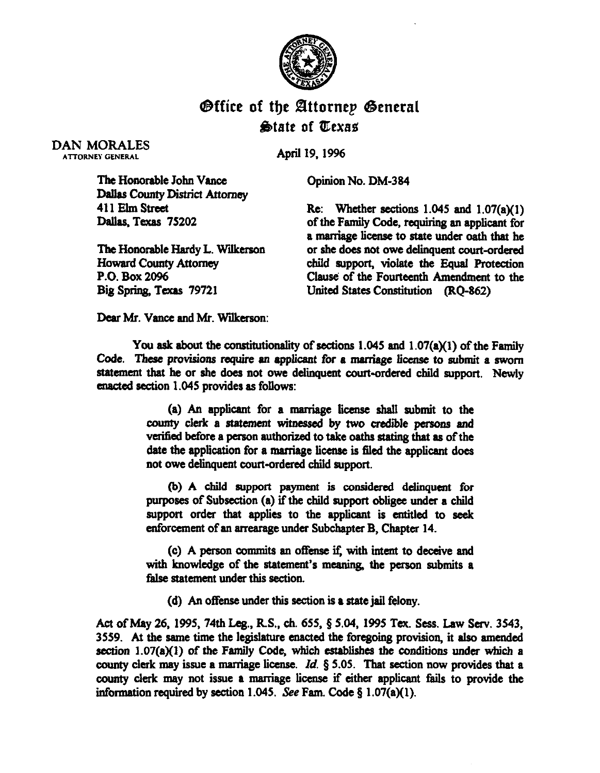

## **Office of the Attornep General &date of t!Cexas**

DAN MORALES ATTORNEY GENERAL

April 19.1996

Opinion No. DM-384

The Honorable John Vance Dallas County District Attorney 411 Elm Street Dallas, Texas 75202

The Honorable Hardy L. Wilkerson Howard County Attorney P.O. Box 2096 Big Spring, Texas 79721

Re: Whether sections  $1.045$  and  $1.07(a)(1)$ of the Family Code, requiring an applicant for a marriage license to state under oath that he or she does not owe delinquent court-ordered child support, violate the Equal Protection Clause of the Fourteenth Amendment to the United States Constitution (RQ-862)

Dear Mr. Vance and Mr. Wilkerson:

You ask about the constitutionality of sections 1.045 and 1.07(a)(1) of the Family Code. These provisions require an applicant for a marriage license to submit a sworn statement that he or she does not owe delinquent court-ordered child support. Newly enacted section 1.045 provides as follows:

> $(a)$  An applicant for a marriage license shall submit to the county clerk a statement witnessed by two credible persons and verified before a person authorized to take oaths stating that as of the date the application for a marriage license is filed the applicant does not owe delinquent court-ordered child support.

> (b) A child support payment is considered delinquent for purposes of Subsection (a) if the child support obligee under a child support order that applies to the applicant is entitled to seek enforcement of an arrearage under Subchapter B, Chapter 14.

> **(c) A** person commits an offense if, with intent to deceive and with knowledge of the statement's meaning, the person submits a false statement under this section.

(d) An offense under this section is a state jail felony.

Act of May 26, 1995, 74th Leg., R.S., ch. 655, § 5.04, 1995 Tex. Sess. Law Serv. 3543, 3559. At the same time the legislature enacted the foregoing provision, it also amended section  $1.07(a)(1)$  of the Family Code, which establishes the conditions under which a county clerk may issue a marriage license. Id.  $\S 5.05$ . That section now provides that a county clerk may not issue a marriage license if either applicant fails to provide the information required by section 1.045. See Fam. Code  $\S$  1.07(a)(1).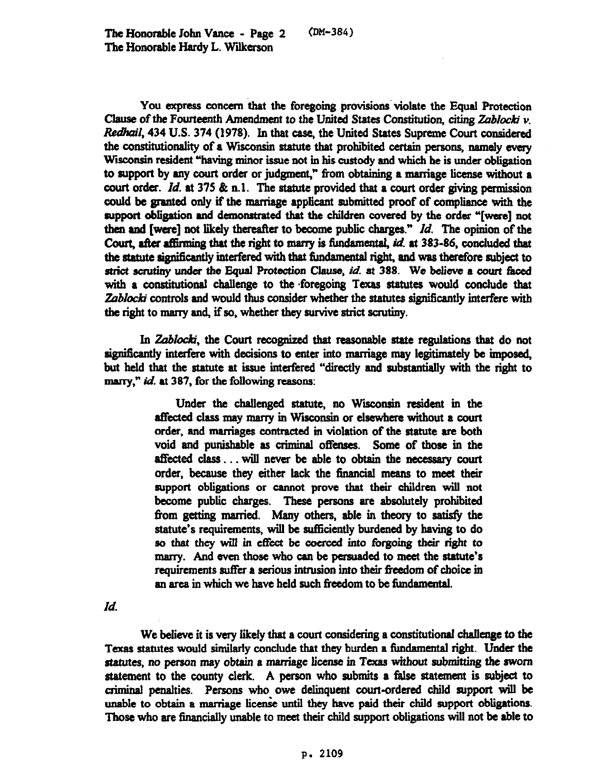*(~~-384)* 

You express concern that the foregoing provisions violate the Equal Protection Clause of the Fourteenth Amendment to the United States Constitution, citing *Zablocki* v. Redhail, 434 U.S. 374 (1978). In that case, the United States Supreme Court considered the constitutionality of a Wisconsin statute that prohibited certain persons, namely every Wisconsin resident "having minor issue not in his custody and which he is under obligation to support by any court order or judgment," from obtaining a marriage license without a court order. Id. at 375  $\&$  n.1. The statute provided that a court order giving permission could be granted only if the marriage applicant submitted proof of compliance with the support obligation and demonstrated that the children covered by the order "[were] not then and [were] not likely thereafter to become public charges."  $Id$ . The opinion of the Court, after affirming that the right to marry is fundamental, id. at 383-86, concluded that the statute significantly interfered with that fundamental right, and was therefore subject to strict scrutiny under the Equal Protection Clause, *id.* at 388. We believe a court faced with a constitutional challenge to the foregoing Texas statutes would conclude that Zablocki controls and would thus consider whether the statutes significantly interfere with the right to marry and, if so, whether they survive strict scrutiny.

In Zablocki, the Court recognized that reasonable state regulations that do not significantly interfere with decisions to enter into marriage may legitimately be imposed, but held that the statute at issue interfered "directly and substantially with the right to marry," id. at 387, for the following reasons:

> Under the challenged statute, no Wisconsin resident in the affected class may marry in Wisconsin or elsewhere without a court order, and marriages contracted in violation of the statute are both void and punishable as criminal offenses. Some of those in the affected class . . . will never be able to obtain the necessary court order, because they either lack the financial means to meet their support obligations or cannot prove that their children will not become public charges. These persons are absolutely prohibited from getting married. Many others, able in theory to satisfy the statute's requirements, will be sufliciently burdened by having to do so that they will in effect be coerced into forgoing their right to marry. And even those who can be persuaded to meet the statute's requirements suffer a serious intrusion into their freedom of choice in an area in which we have held such freedom to be fundamental.

Id.

We believe it is very likely that a court considering a constitutionai challenge to the Texas statutes would similarly conclude that they burden a fimdamentaJ right. Under the statutes, *no person may* obtain a marriage license in Texas without submitting the *sworn*  statement to the wunty clerk. A person who submits a false statement is subject to criminal penalties. Persons who owe delinquent court-ordered child support will be unable to obtain a marriage license until they have paid their child support obligations. Those who are financially unable to meet their child support obligations will not be able to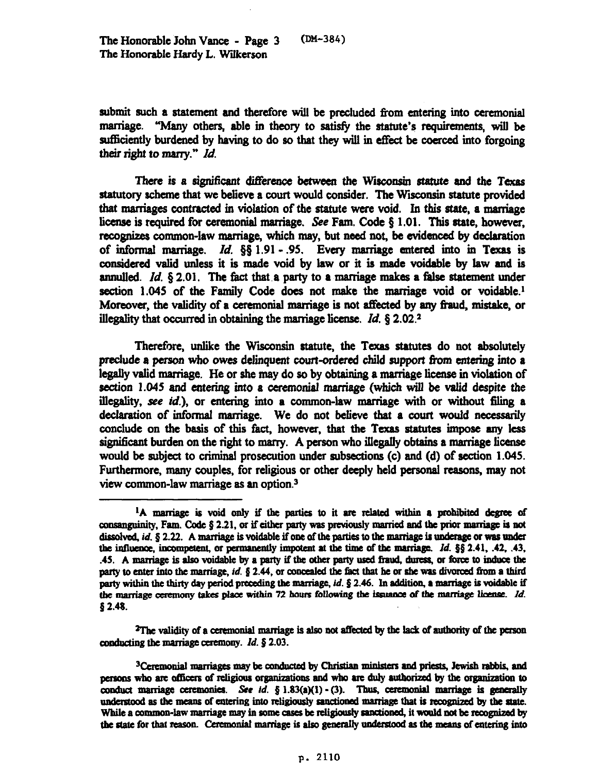submit such a statement and therefore will be precluded from entering into ceremonial maniage. "Many others, able in theory to satisfy the statute's requirementa will be sufficiently burdened by having to do so that they will in effect be coerced into forgoing their right to marry." *Id.* 

There is a significant difference between the Wisconsin statute and the Texas statutory scheme that we believe a court would consider. The Wisconsin statute provided that marriages contracted in violation of the statute were void. In this state, a marriage license is required for ceremonial marriage. See Fam. Code  $\S 1.01$ . This state, however, recognizes common-law marriage, which may, but need not, be evidenced by declaration of informal marriage. *Id.*  $\delta \S 1.91 - .95$ . Every marriage entered into in Texas is considered valid unless it is made void by law or it is made voidable by law and is annulled. *Id.*  $\S$  2.01. The fact that a party to a marriage makes a false statement under section  $1.045$  of the Family Code does not make the marriage void or voidable.<sup>1</sup> Moreover, the validity of a ceremonial marriage is not affected by any fraud, mistake, or *illegality* that *owurred in obtaining the marriage license. Id. 5 2.02.2* 

Therefore, unlike the Wisconsin statute, the Texas statutes do not absolutely preclude a person who owes delinquent court-ordered child support from entering into a legally valid marriage. He or she may do so by obtaining a marriage license in violation of section 1.045 and entering into a ceremonial marrisge (which will be valid despite the *illegality, see id.).* or entering into a common-law marriage with or without tiling a declaration of informal marriage. We do not believe that a court would necessarily conclude on the basis of this fact, however, that the Texas statutes impose any less significant burden on the right to marry. A person who illegally obtains a marriage license would be subject to criminal prosecution under subsections (c) and (d) of section 1.045. Furthermore, many couples, for religious or other deeply held personal reasons, may not view common-law marriage as an option.'

 $2$ The validity of a ceremonial marriage is also not affected by the lack of authority of the person conducting the marriage ceremony.  $Id.$  § 2.03.

<sup>3</sup>Ceremonial marriages may be conducted by Christian ministers and priests, Jewish rabbis, and persons who are officers of religious organizations and who are duly authorized by the organization to conduct marriage ceremonies. See id.  $$ 1.83(a)(1) - (3)$ . Thus, ceremonial marriage is generally understood as the means of entering into religiously sanctioned marriage that is recognized by the state. While a common-law marriage may in some cases be religiously sanctioned, it would not be recognized by the state for that reason. Ceremonial marriage is also generally understood as the means of entering into

<sup>&</sup>lt;sup>1</sup>A marriage is void only if the parties to it are related within a prohibited degree of consanguinity, Fam. Code  $\S 2.21$ , or if either party was previously married and the prior marriage is not dissolved, id. § 2.22. A marriage is voidable if one of the parties to the marriage is underage or was under the influence, incompetent, or permanently impotent at the time of the marriage.  $Id. \S \S 2.41, .42, .43,$ .45. A marriage is also voidable by a party if the other party used fraud, duress, or force to induce the party to enter into the marriage, id. § 2.44, or concealed the fact that he or she was divorced from a third party within the thirty day period preceding the marriage, id. § 2.46. In addition, a marriage is voidable if the marriage ceremony takes place within 72 hours following the issuance of the marriage license. Id.  $$2.48.$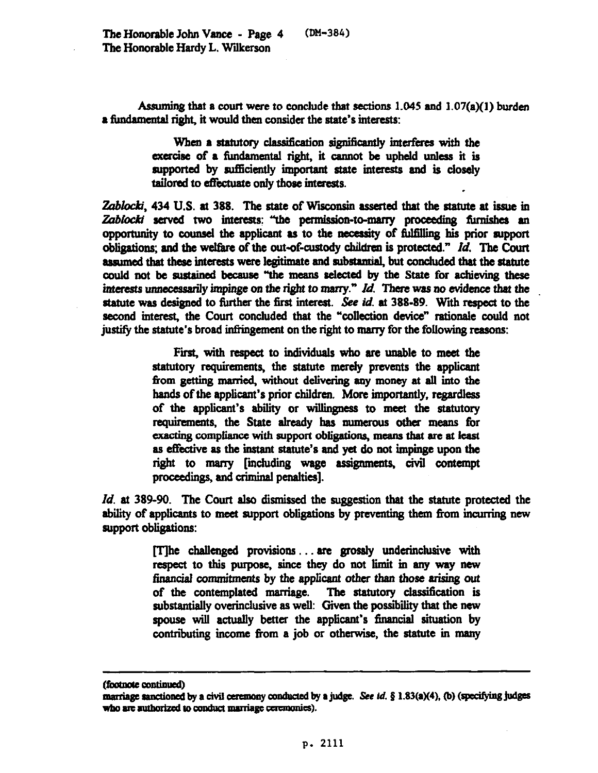Assuming that a court were to conclude that sections  $1.045$  and  $1.07(a)(1)$  burden a fundamental right, it would then consider the state's interests:

> When a statutory classification significantly interferes with the exercise of a fundamental right, it cannot be upheld unless it is supported by sufficiently important state interests and is closely tailored to effectuate only those interests.

Zablocki, 434 U.S. at 388. The state of Wisconsin asserted that the statute at issue in Zablocki served two interests: "the permission-to-marry proceeding furnishes an opportunity to counsel the applicant as to the necessity of fulfilling his prior support obligations; and the welfare of the out-of-custody children is protected." Id. The Court assumed that these interests were legitimate and substantial, but concluded that the statute could not be sustained because "the means selected by the State for achieving these interests unnecessarily impinge on the right to marry." Id. There was no evidence that the statute was designed to further the first interest. See id. at 388-89. With respect to the second interest, the Court concluded that the "collection device" rationale could not justify the statute's broad infringement on the right to marry for the following reasons:

> First, with respect to individuals who are unable to meet the statutory requirements, the statute merely prevents the applicant from getting married, without delivering any money at all into the hands of the applicant's prior children. More importantly, regardless of the applicant's ability or willingness to meet the statutory requirements, the State already has numerous other means for exacting compliance with support obligations, means that are at least as effective as the instant statute's and yet do not impinge upon the right to marry [including wage assignments, civil contempt proceedings, and criminal penalties].

*Id.* at 389-90. The Court also dismissed the suggestion that the statute protected the ability of applicants to meet support obligations by preventing them from incurring new support obligations:

> [T]he challenged provisions ... are grossly underinclusive with respect to this purpose, since they do not limit in any way new financial commitments by the applicant other than those arising out of the contemplated marriage. The statutory classification is substantially overinclusive as well: Given the possibility that the new spouse will actually better the applicant's financial situation by contributing income from a job or otherwise, the statute in many

<sup>(</sup>footnote continued)

marriage sanctioned by a civil ceremony conducted by a judge. See id.  $\S$  1.83(a)(4), (b) (specifying judges who are authorized to conduct marriage ceremonies).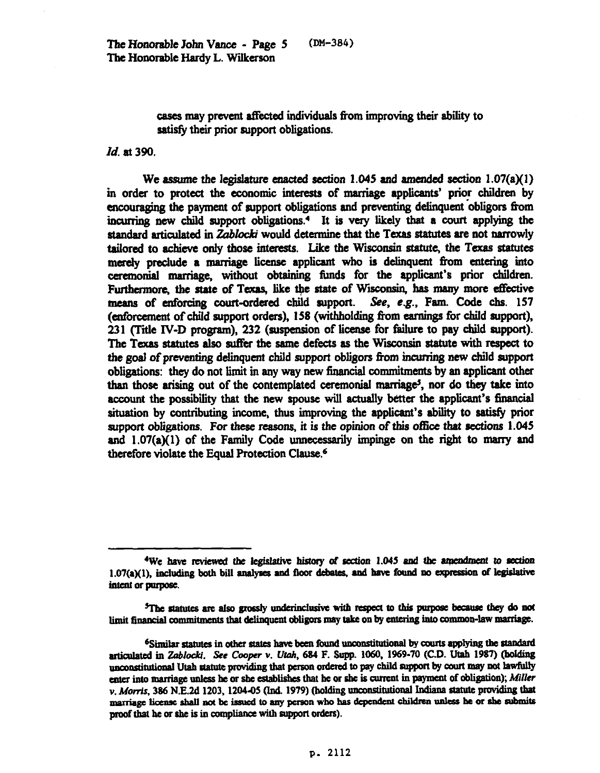cases may prevent affected individuals from improving their ability to satisfy their prior support obligations.

## *Id. at 390.*

We assume the legislature enacted section 1.045 and amended section  $1.07(a)(1)$ in order to protect the economic interests of marriage applicants' prior children by encouraging the payment of support obligations and preventing delinquent obligors from incurring new child support obligations.<sup>4</sup> It is very likely that a court applying the standard articulated in Zablocki would determine that the Texas statutes are not narrowly tailored to achieve only those interests. Like the Wisconsin statute, the Texas statutes merely preclude a marriage license applicant who is delinquent from entering into ceremonial marriage, without obtaining funds for the applicant's prior children. Furthermore, the state of Texas, like the state of Wisconsin, has many more effective means of enforcing court-ordered child support. See, e.g., Fam. Code chs. 157 (enforcement of child support orders), 158 (withholding from earnings for child support). 231 (Title IV-D program), 232 (suspension of license for failure to pay child support). The Texas statutes also suffer the same defects as the Wisconsin statute with respect to the goal of preventing delinquent child support obligers from hcurring new child support obligations: they do not limit in any way new fmancial commitments by an applicant other than those arising out of the contemplated ceremonial marriage<sup>5</sup>, nor do they take into account the possibility that the new spouse will actually better the applicant's financial situation by contributing income, thus improving the applicant's abiity to satisfy prior support obligations. For these reasons, it is the opinion of this office that sections  $1.045$ and  $1.07(a)(1)$  of the Family Code unnecessarily impinge on the right to marry and therefore violate the Equal Protection Clause.<sup>6</sup>

<sup>&</sup>lt;sup>4</sup>We have reviewed the legislative history of section 1.045 and the amendment to section 1.07(a)(1), including both bill analyses and floor debates, and have found no expression of legislative intent or purpose.

<sup>&</sup>lt;sup>5</sup>The statutes are also grossly underinclusive with respect to this purpose because they do not limit financial commitments that delinquent obligors may take on by entering into common-law marriage.

<sup>&</sup>lt;sup>6</sup>Similar statutes in other states have been found unconstitutional by courts applying the standard articulated in Zablocki. See Cooper v. Utah, 684 F. Supp. 1060, 1969-70 (C.D. Utah 1987) (holding unconstitutional Utah statute providing that person ordered to pay child support by court may not lawfully enter into marriage unless he or she establishes that he or she is current in payment of obligation); Miller v. Morris, 386 N.E.2d 1203, 1204-05 (Ind. 1979) (holding unconstitutional Indiana statute providing that marriage license shall not be issued to any person who has dependent children unless he or she submits proof that he or she is in compliance with support orders).